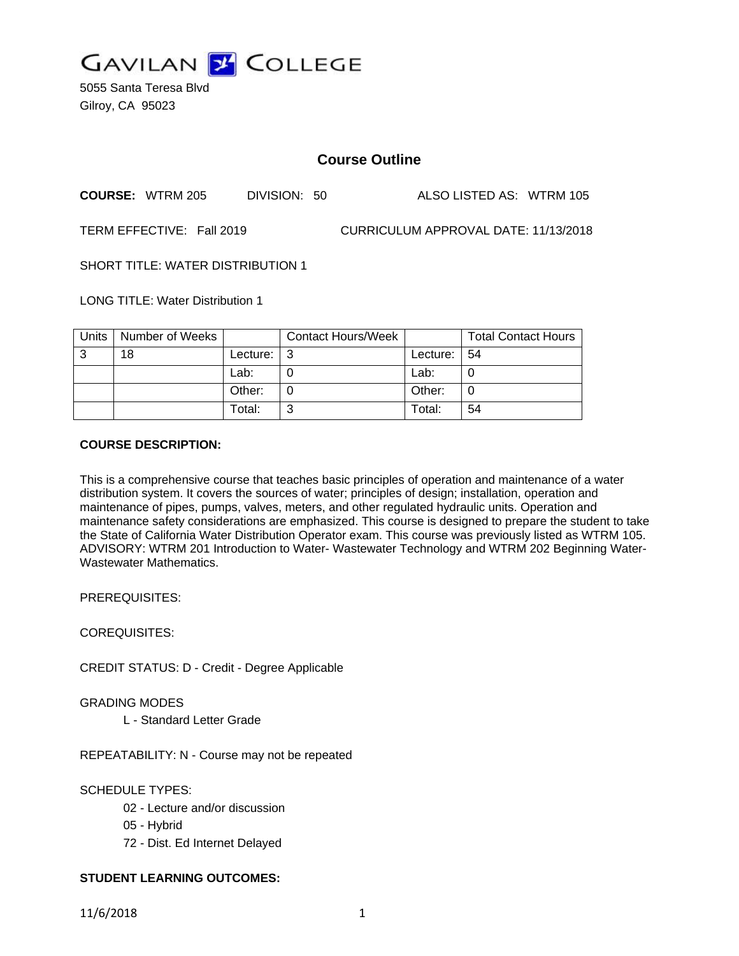

5055 Santa Teresa Blvd Gilroy, CA 95023

# **Course Outline**

**COURSE:** WTRM 205 DIVISION: 50 ALSO LISTED AS: WTRM 105

TERM EFFECTIVE: Fall 2019 CURRICULUM APPROVAL DATE: 11/13/2018

SHORT TITLE: WATER DISTRIBUTION 1

LONG TITLE: Water Distribution 1

| <b>Units</b> | Number of Weeks |                    | <b>Contact Hours/Week</b> |                 | <b>Total Contact Hours</b> |
|--------------|-----------------|--------------------|---------------------------|-----------------|----------------------------|
| 3            | 18              | Lecture: $\vert$ 3 |                           | Lecture: $  54$ |                            |
|              |                 | Lab:               |                           | Lab:            |                            |
|              |                 | Other:             |                           | Other:          |                            |
|              |                 | Total:             | ⌒                         | Total:          | 54                         |

## **COURSE DESCRIPTION:**

This is a comprehensive course that teaches basic principles of operation and maintenance of a water distribution system. It covers the sources of water; principles of design; installation, operation and maintenance of pipes, pumps, valves, meters, and other regulated hydraulic units. Operation and maintenance safety considerations are emphasized. This course is designed to prepare the student to take the State of California Water Distribution Operator exam. This course was previously listed as WTRM 105. ADVISORY: WTRM 201 Introduction to Water- Wastewater Technology and WTRM 202 Beginning Water-Wastewater Mathematics.

PREREQUISITES:

COREQUISITES:

CREDIT STATUS: D - Credit - Degree Applicable

GRADING MODES

L - Standard Letter Grade

REPEATABILITY: N - Course may not be repeated

## SCHEDULE TYPES:

- 02 Lecture and/or discussion
- 05 Hybrid
- 72 Dist. Ed Internet Delayed

## **STUDENT LEARNING OUTCOMES:**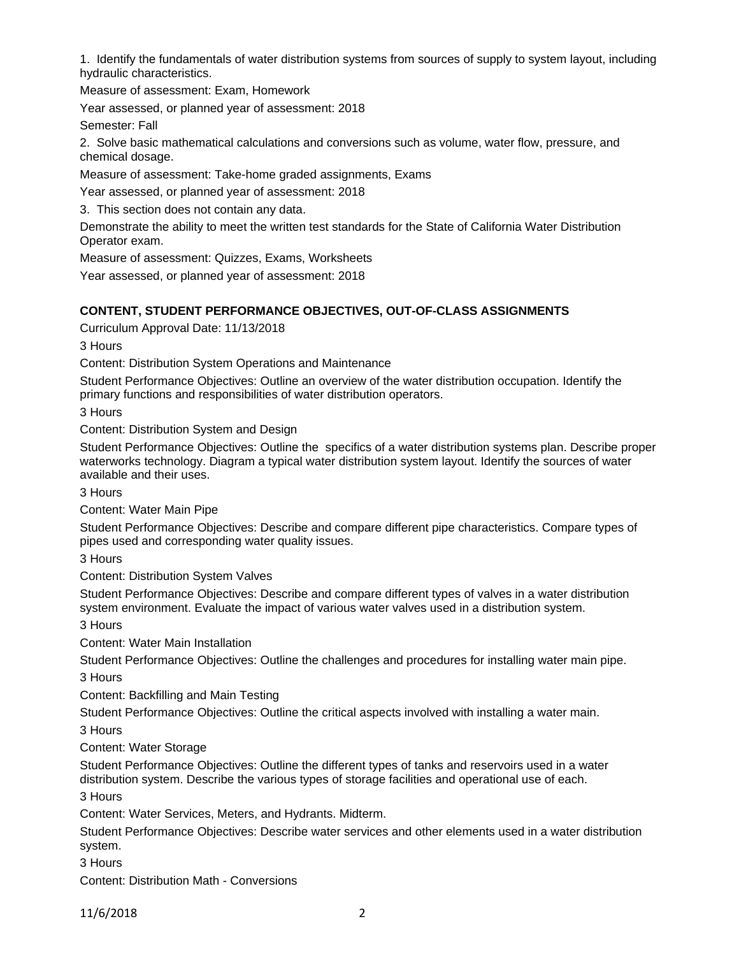1. Identify the fundamentals of water distribution systems from sources of supply to system layout, including hydraulic characteristics.

Measure of assessment: Exam, Homework

Year assessed, or planned year of assessment: 2018

Semester: Fall

2. Solve basic mathematical calculations and conversions such as volume, water flow, pressure, and chemical dosage.

Measure of assessment: Take-home graded assignments, Exams

Year assessed, or planned year of assessment: 2018

3. This section does not contain any data.

Demonstrate the ability to meet the written test standards for the State of California Water Distribution Operator exam.

Measure of assessment: Quizzes, Exams, Worksheets

Year assessed, or planned year of assessment: 2018

#### **CONTENT, STUDENT PERFORMANCE OBJECTIVES, OUT-OF-CLASS ASSIGNMENTS**

Curriculum Approval Date: 11/13/2018

3 Hours

Content: Distribution System Operations and Maintenance

Student Performance Objectives: Outline an overview of the water distribution occupation. Identify the primary functions and responsibilities of water distribution operators.

3 Hours

Content: Distribution System and Design

Student Performance Objectives: Outline the specifics of a water distribution systems plan. Describe proper waterworks technology. Diagram a typical water distribution system layout. Identify the sources of water available and their uses.

3 Hours

Content: Water Main Pipe

Student Performance Objectives: Describe and compare different pipe characteristics. Compare types of pipes used and corresponding water quality issues.

3 Hours

Content: Distribution System Valves

Student Performance Objectives: Describe and compare different types of valves in a water distribution system environment. Evaluate the impact of various water valves used in a distribution system.

3 Hours

Content: Water Main Installation

Student Performance Objectives: Outline the challenges and procedures for installing water main pipe. 3 Hours

Content: Backfilling and Main Testing

Student Performance Objectives: Outline the critical aspects involved with installing a water main.

3 Hours

Content: Water Storage

Student Performance Objectives: Outline the different types of tanks and reservoirs used in a water distribution system. Describe the various types of storage facilities and operational use of each.

3 Hours

Content: Water Services, Meters, and Hydrants. Midterm.

Student Performance Objectives: Describe water services and other elements used in a water distribution system.

3 Hours

Content: Distribution Math - Conversions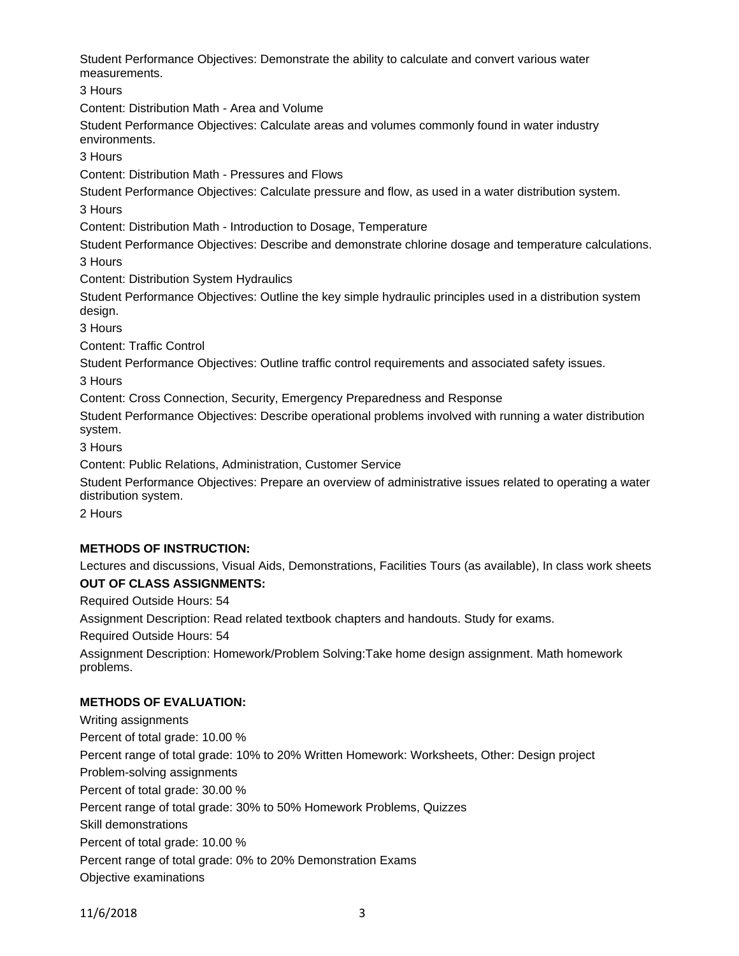Student Performance Objectives: Demonstrate the ability to calculate and convert various water measurements.

3 Hours

Content: Distribution Math - Area and Volume

Student Performance Objectives: Calculate areas and volumes commonly found in water industry environments.

3 Hours

Content: Distribution Math - Pressures and Flows

Student Performance Objectives: Calculate pressure and flow, as used in a water distribution system.

3 Hours

Content: Distribution Math - Introduction to Dosage, Temperature

Student Performance Objectives: Describe and demonstrate chlorine dosage and temperature calculations. 3 Hours

Content: Distribution System Hydraulics

Student Performance Objectives: Outline the key simple hydraulic principles used in a distribution system design.

3 Hours

Content: Traffic Control

Student Performance Objectives: Outline traffic control requirements and associated safety issues.

3 Hours

Content: Cross Connection, Security, Emergency Preparedness and Response

Student Performance Objectives: Describe operational problems involved with running a water distribution system.

3 Hours

Content: Public Relations, Administration, Customer Service

Student Performance Objectives: Prepare an overview of administrative issues related to operating a water distribution system.

2 Hours

## **METHODS OF INSTRUCTION:**

Lectures and discussions, Visual Aids, Demonstrations, Facilities Tours (as available), In class work sheets **OUT OF CLASS ASSIGNMENTS:**

Required Outside Hours: 54

Assignment Description: Read related textbook chapters and handouts. Study for exams.

Required Outside Hours: 54

Assignment Description: Homework/Problem Solving:Take home design assignment. Math homework problems.

## **METHODS OF EVALUATION:**

Writing assignments Percent of total grade: 10.00 % Percent range of total grade: 10% to 20% Written Homework: Worksheets, Other: Design project Problem-solving assignments Percent of total grade: 30.00 % Percent range of total grade: 30% to 50% Homework Problems, Quizzes Skill demonstrations Percent of total grade: 10.00 % Percent range of total grade: 0% to 20% Demonstration Exams Objective examinations

11/6/2018 3